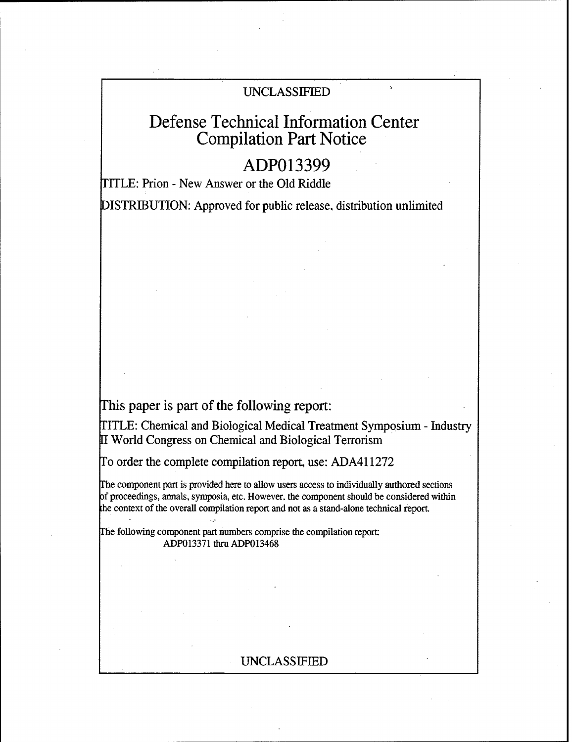# UNCLASSIFIED

# Defense Technical Information Center Compilation Part Notice

# **ADP013399**

TITLE: Prion - New Answer or the Old Riddle

DISTRIBUTION: Approved for public release, distribution unlimited

This paper is part of the following report:

TITLE: Chemical and Biological Medical Treatment Symposium - Industry [I World Congress on Chemical and Biological Terrorism

To order the complete compilation report, use: ADA411272

The component part is provided here to allow users access to individually authored sections of proceedings, annals, symposia, etc. However. the component should be considered within the context of the overall compilation report and not as a stand-alone technical report.

The following component part numbers comprise the compilation report: ADP013371 tiru ADP013468

# UNCLASSIFIED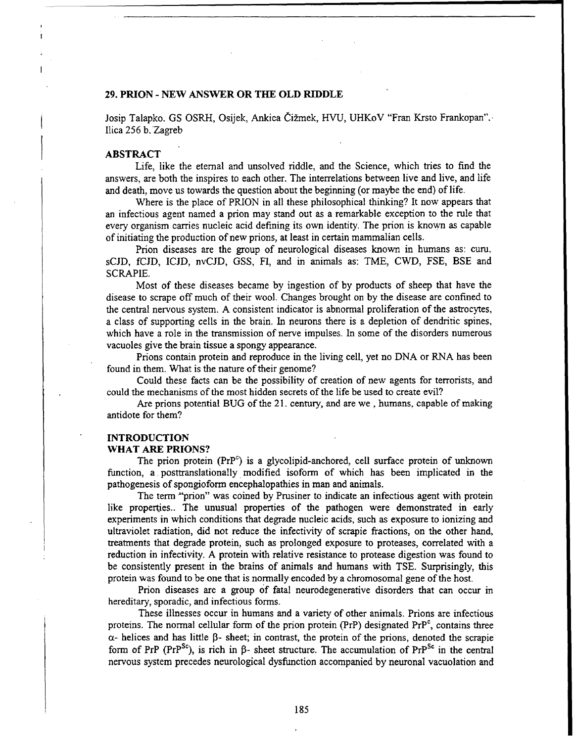### **29. PRION** - **NEW** ANSWER OR **THE** OLD RIDDLE

Josip Talapko. GS OSRH, Osijek, Ankica Čižmek, HVU, UHKoV "Fran Krsto Frankopan". Ilica 256 b. Zagreb

#### ABSTRACT

Life, like the eternal and unsolved riddle, and the Science, which tries to find the answers, are both the inspires to each other. The interrelations between live and live, and life and death, move us towards the question about the beginning (or maybe the end) of life.

Where is the place of PRION in all these philosophical thinking? It now appears that an infectious agent named a prion may stand out as a remarkable exception to the rule that every organism carries nucleic acid defining its own identity. The prion is known as capable of initiating the production of new prions, at least in certain mammalian cells.

Prion diseases are the group of neurological diseases known in humans as: curu. sCJD, fCJD, ICJD, nvCJD, GSS, FI, and in animals as: TME, CWD, FSE, BSE and SCRAPIE.

Most of these diseases became by ingestion of by products of sheep that have the disease to scrape off much of their wool. Changes brought on by the disease are confined to the central nervous system. A consistent indicator is abnormal proliferation of the astrocytes, a class of supporting cells in the brain. In neurons there is a depletion of dendritic spines, which have a role in the transmission of nerve impulses. In some of the disorders numerous vacuoles give the brain tissue a spongy appearance.

Prions contain protein and reproduce in the living cell, yet no DNA or RNA has been found in them. What is the nature of their genome?

Could these facts can be the possibility of creation of new agents for terrorists, and could the mechanisms of the most hidden secrets of the life be used to create evil?

Are prions potential BUG of the 21. century, and are we , humans, capable of making antidote for them?

#### **INTRODUCTION** WHAT ARE PRIONS?

The prion protein  $(PrP^c)$  is a glycolipid-anchored, cell surface protein of unknown function, a, posttranslationally, modified isoform of which has been implicated in the pathogenesis of spongioform encephalopathies in man and animals.

The term "prion" was coined **by** Prusiner to indicate an infectious agent with protein like properties.. The unusual properties of the pathogen were demonstrated in early experiments in which conditions that degrade nucleic acids, such as exposure to ionizing and ultraviolet radiation, did not reduce the infectivity of scrapie fractions, on the other hand, treatments that degrade protein, such as prolonged exposure to proteases, correlated with a reduction in infectivity. A protein with relative resistance to protease digestion was found to be consistently present in the brains of animals and humans with TSE. Surprisingly, this protein was found to be one that is normally encoded by a chromosomal gene of the host.

Prion diseases are a group of fatal neurodegenerative disorders that can occur in hereditary, sporadic, and infectious forms.

These illnesses occur in humans and a variety of other animals. Prions are infectious proteins. The normal cellular form of the prion protein (PrP) designated  $Pr<sup>c</sup>$ , contains three  $\alpha$ - helices and has little  $\beta$ - sheet; in contrast, the protein of the prions, denoted the scrapie form of PrP (PrP<sup>Sc</sup>), is rich in  $\beta$ - sheet structure. The accumulation of PrP<sup>Sc</sup> in the central nervous system precedes neurological dysfunction accompanied by neuronal vacuolation and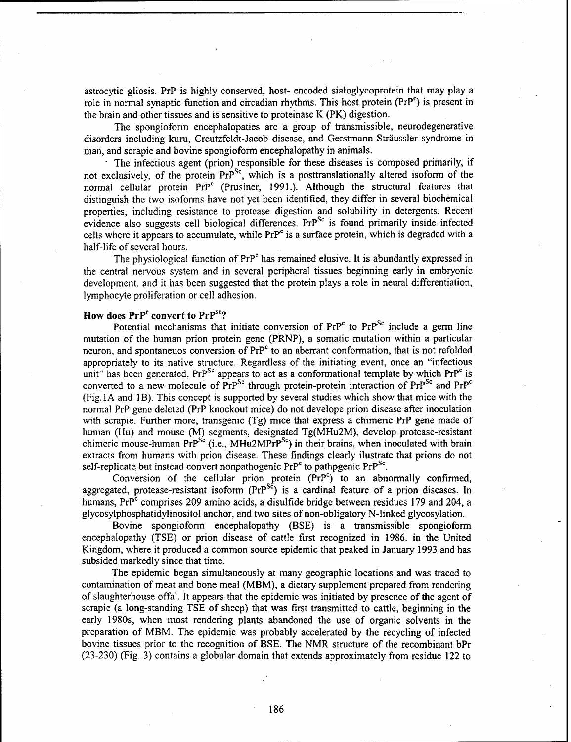astrocytic gliosis. PrP is highly conserved, host- encoded sialoglycoprotein that may play a role in normal synaptic function and circadian rhythms. This host protein  $(PP^c)$  is present in the brain and other tissues and is sensitive to proteinase K (PK) digestion.

The spongioform encephalopaties are a group of transmissible, neurodegenerative disorders including kuru, Creutzfeldt-Jacob disease, and Gerstmann-Sträussler syndrome in man, and scrapie and bovine spongioform encephalopathy in animals.

The infectious agent (prion) responsible for these diseases is composed primarily, if not exclusively, of the protein  $Pr^{Sc}$ , which is a posttranslationally altered isoform of the normal cellular protein PrP<sup>c</sup> (Prusiner, 1991.). Although the structural features that distinguish the two isoforms have not yet been identified, they differ in several biochemical properties, including resistance to protcase digestion and solubility in detergents. Recent evidence also suggests cell biological differences. PrP<sup>Sc</sup> is found primarily inside infected cells where it appears to accumulate, while PrP<sup>c</sup> is a surface protein, which is degraded with a half-life of several hours.

The physiological function of PrP<sup>c</sup> has remained elusive. It is abundantly expressed in the central nervous system and in several peripheral tissues beginning early in embryonic development, and it has been suggested that the protein plays a role in neural differentiation, lymphocyte proliferation or cell adhesion.

## How does  $PrP^c$  convert to  $PrP^{sc}$ ?

Potential mechanisms that initiate conversion of  $PrP^c$  to  $Pr^{Sc}$  include a germ line mutation of the human prion protein gene (PRNP), a somatic mutation within a particular neuron, and spontaneuos conversion of PrP<sup>c</sup> to an aberrant conformation, that is not refolded appropriately to its native structure. Regardless of the initiating event, once an "infectious unit" has been generated, PrP<sup>Sc</sup> appears to act as a conformational template by which PrP<sup>c</sup> is converted to a new molecule of  $PrP^{Sc}$  through protein-protein interaction of  $PrP^{Sc}$  and  $PrP^{c}$  $(Fig. IA and IB)$ . This concept is supported by several studies which show that mice with the normal PrP gene deleted (PrP knockout mice) do not develope prion disease after inoculation with scrapie. Further more, transgenic (Tg) mice that express a chimeric PrP gene made of human (11u) and mouse (M) segments, designated Tg(MHu2M), develop protease-resistant chimeric mouse-human Pr $P^{Sc}$  (i.e., MHu2MPr $P^{Sc}$ ) in their brains, when inoculated with brain extracts from humans with prion disease. These findings clearly ilustrate that prions do not self-replicate but instead convert nonpathogenic  $Pr^{p<sup>c</sup>}$  to pathpgenic  $Pr^{Sc}$ .

Conversion of the cellular prion protein  $(PrP<sup>c</sup>)$  to an abnormally confirmed, aggregated, protease-resistant isoform  $(PrP^{S_c})$  is a cardinal feature of a prion diseases. In humans,  $Pr<sup>o</sup>$  comprises 209 amino acids, a disulfide bridge between residues 179 and 204, a glycosylphosphatidylinositol anchor, and two sites of non-obligatory N-linked glycosylation.

Bovine spongioform encephalopathy (BSE) is a transmissible spongioform encephalopathy (TSE) or prion disease of cattle first recognized in 1986. in the United Kingdom, where it produced a common source epidemic that peaked in January 1993 and has subsided markedly since that time.

The epidemic began simultaneously at many geographic locations and was traced to contamination of meat and bone meal (MBM), a dietary supplement prepared from rendering of slaughterhouse offal. It appears that the epidemic was initiated by presence of the agent of scrapie (a long-standing TSE of sheep) that was first transmitted to cattle, beginning in the early 1980s, when most rendering plants abandoned the use of organic solvents in the preparation of MBM. The epidemic was probably accelerated by the recycling of infected bovine tissues prior to the recognition of BSE. The NMR structure of the recombinant bPr (23-230) (Fig. 3) contains a globular domain that extends approximately from residue 122 to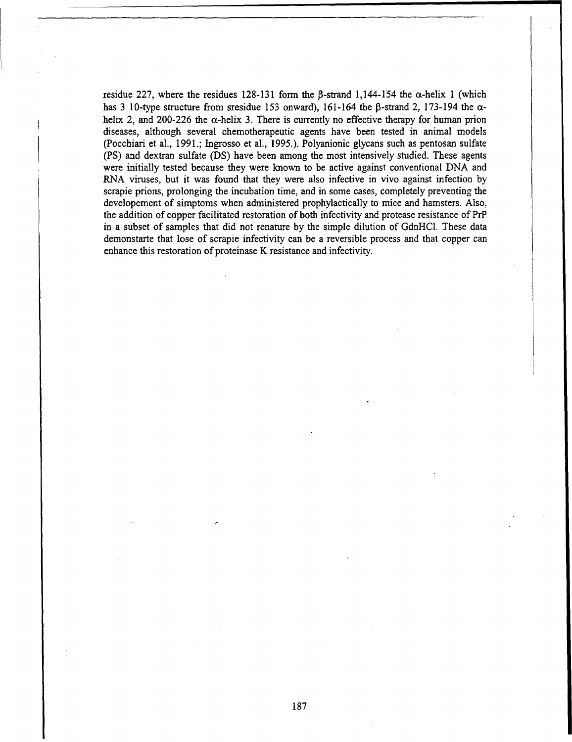residue 227, where the residues 128-131 form the  $\beta$ -strand 1,144-154 the  $\alpha$ -helix 1 (which has 3 10-type structure from sresidue 153 onward), 161-164 the  $\beta$ -strand 2, 173-194 the  $\alpha$ helix 2, and 200-226 the  $\alpha$ -helix 3. There is currently no effective therapy for human prion diseases, although several chemotherapeutic agents have been tested in animal models (Pocchiari et at., 1991.; Ingrosso et al., **1995.).** Polyanionic glycans such as pentosan sulfate (PS) and dextran sulfate (DS) have been among the most intensively studied. These agents were initially tested because they were known to be active against conventional DNA and RNA viruses, but it was found that they were also infective in vivo against infection by scrapie prions, prolonging the incubation time, and in some cases, completely preventing the developement of simptoms when administered prophylactically to mice and hamsters. Also, the addition of copper facilitated restoration of both infectivity and protease resistance of PrP in a subset of samples that did not renature by the simple dilution of GdnHCL. These data demonstarte that lose of scrapie infectivity can be a reversible process and that copper can enhance this restoration of proteinase K resistance and infectivity.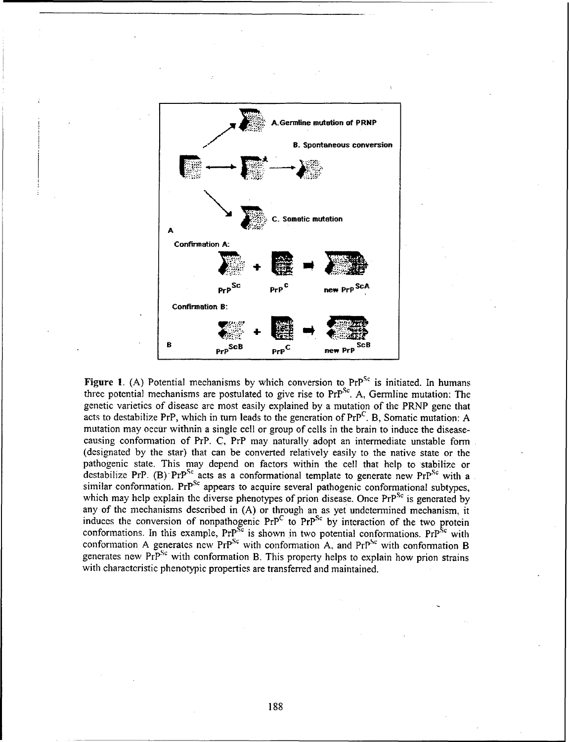

Figure 1. (A) Potential mechanisms by which conversion to PrP<sup>Sc</sup> is initiated. In humans three potential mechanisms are postulated to give rise to PrP<sup>Sc</sup>. A, Germline mutation: The genetic varieties of disease are most easily explained by a mutation of the PRNP gene that acts to destabilize PrP, which in turn leads to the generation of  $Pr^{C}$ . B, Somatic mutation: A mutation may occur withnin a single cell or group of cells in the brain to induce the diseasecausing conformation of PrP. C, PrP may naturally adopt an intermediate unstable form (designated by the star) that can be converted relatively easily to the native state or the pathogenic state. This may depend on factors within the cell that help to stabilize or destabilize PrP. (B) PrP<sup>Sc</sup> acts as a conformational template to generate new PrP<sup>Sc</sup> with a similar conformation. PrP<sup>Sc</sup> appears to acquire several pathogenic conformational subtypes, which may help explain the diverse phenotypes of prion disease. Once  $PrP^{Sc}$  is generated by any of the mechanisms described in (A) or through an as yet undetermined mechanism, it induces the conversion of nonpathogenic  $Pr^{C}$  to  $Pr^{Sc}$  by interaction of the two protein conformations. In this example,  $Pr^{Sc}$  is shown in two potential conformations.  $Pr^{Sc}$  with conformation A generates new  $PrP^{Sc}$  with conformation A, and  $PrP^{Sc}$  with conformation B generates new  $Pr<sup>Sc</sup>$  with conformation B. This property helps to explain how prion strains with characteristic phenotypic properties are transferred and maintained.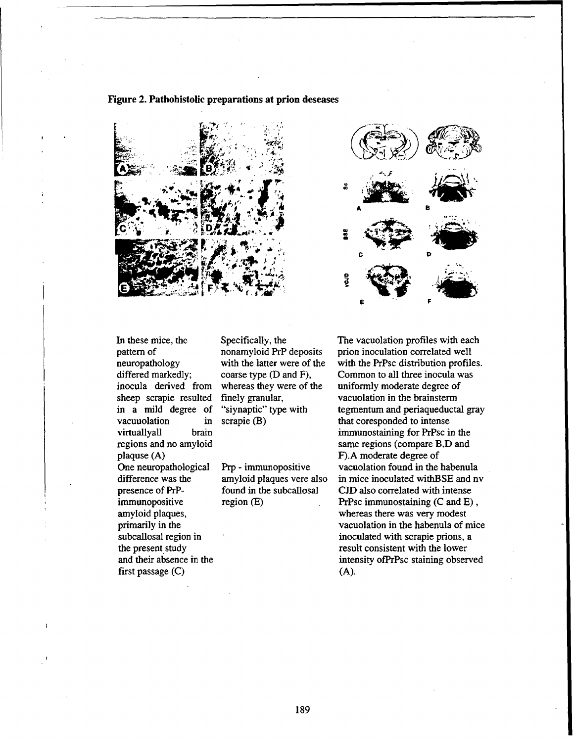



first passage (C) (A).

In these mice, the Specifically, the The vacuolation profiles with each pattern of nonamyloid PrP deposits prion inoculation correlated well neuropathology with the latter were of the with the PrPsc distribution profiles. differed markedly; coarse type (D and F), Common to all three inocula was inocula derived from whereas they were of the uniformly moderate degree of sheep scrapie resulted finely granular, vacuolation in the brainsterm in a mild degree of "siynaptic" type with tegmentum and periaqueductal gray vacuuolation in scrapie  $(B)$  that coresponded to intense virtuallyall brain immunostaining for PrPsc in the regions and no amyloid same regions (compare B,D and plaquse (A) F). A moderate degree of One neuropathological Prp - immunopositive vacuolation found in the habenula difference was the amyloid plaques vere also in mice inoculated with BSE and nv presence of PrP- found in the subcallosal CJD also correlated with intense immunopositive region (E) PrPsc immunostaining (C and E), amyloid plaques, whereas there was very modest primarily in the vacuolation in the habenula of mice subcallosal region in intervalse in the inoculated with scrapie prions, a the present study result consistent with the lower and their absence in the intensity of  $\mathbf{PrP}\mathbf{S}$  and their absence in the intensity of  $\mathbf{PrP}\mathbf{S}$  at a staining observed

## Figure 2. Pathohistolic preparations at prion deseases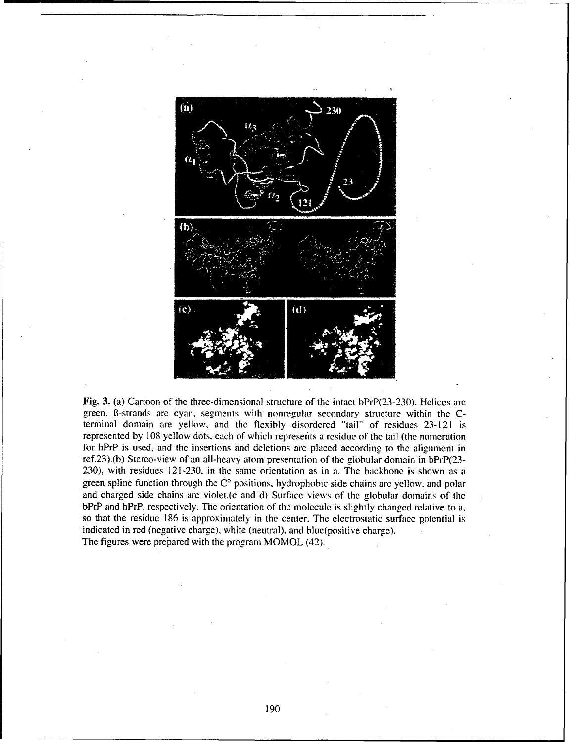

Fig. 3. (a) Cartoon of the three-dimensional structure of the intact bPrP(23-230). Helices are green, B-strands are cyan, segments with nonregular secondary structure within the Cterminal domain are yellow, and the flexibly disordered "tail" of residues 23-121 is represented by 108 yellow dots. each of which represents a residue of the tail (the numeration for hPrP is used, and the insertions and deletions are placed according to the alignment in ref.23).(b) Stereo-view of an all-hcavy atom presentation of the globular domain in bPrP(23- 230), with residues 121-230. in the same orientation as in a. The backbone is shown as a green spline function through the  $\dot{C}^{\circ}$  positions, hydrophobic side chains arc yellow, and polar and charged side chains are violet.(c and d) Surface views of the globular donmains of the bPrP and hPrP, respectively. The orientation of the molecule is slightly changed relative to a, so that the residue 186 is approximately in the center. The electrostatic surface potential is indicated in red (negative charge), white (neutral). and blue(positive charge). The figures were prepared with the program MOMOL (42).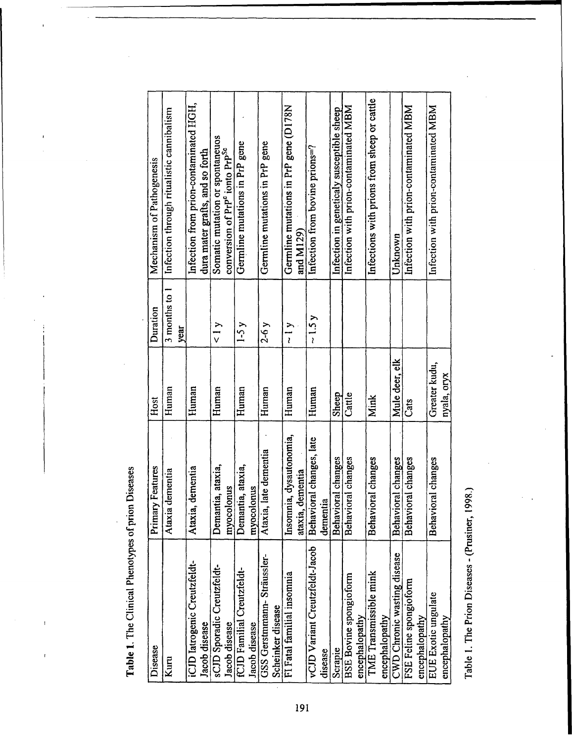$\begin{array}{c} \rule{0pt}{2.5ex} \rule{0pt}{2.5ex} \rule{0pt}{2.5ex} \rule{0pt}{2.5ex} \rule{0pt}{2.5ex} \rule{0pt}{2.5ex} \rule{0pt}{2.5ex} \rule{0pt}{2.5ex} \rule{0pt}{2.5ex} \rule{0pt}{2.5ex} \rule{0pt}{2.5ex} \rule{0pt}{2.5ex} \rule{0pt}{2.5ex} \rule{0pt}{2.5ex} \rule{0pt}{2.5ex} \rule{0pt}{2.5ex} \rule{0pt}{2.5ex} \rule{0pt}{2.5ex} \rule{0pt}{2.5ex} \rule{0$ 

 $\overline{1}$ 

ł

| Lable L. Lne Clinical Phenolypes of prion Diseases |                                             |                              |                       |                                                                                           |
|----------------------------------------------------|---------------------------------------------|------------------------------|-----------------------|-------------------------------------------------------------------------------------------|
| Disease                                            | Features<br>Primary                         | Host                         | Duration              | Mechanism of Pathogenesis                                                                 |
| Kuru                                               | Ataxia dementia                             | Human                        | 3 months to 1<br>year | Infection through ritualistic cannibalism                                                 |
| iCJD Iatrogenic Creutzfeldt-<br>Jacob disease      | Ataxia, dementia                            | Human                        |                       | Infection from prion-contaminated HGH,<br>dura mater grafts, and so forth                 |
| sCJD Sporadic Creutzfeldt-<br>Jacob disease        | a, ataxia,<br>myocolonus<br>Demantia        | Human                        | 1 y                   | Somatic mutation or spontaneuos<br>conversion of PrP <sup>c</sup> ionto PrP <sup>Sc</sup> |
| fCJD Familial Creutzfeldt-<br>Jacob disease        | Demantia, ataxia,<br>myocolonus             | Human                        | $1-5y$                | Germline mutations in PrP gene                                                            |
| GSS Gerstmmann-Sträussler-<br>Scheinker disease    | Ataxia, late dementia                       | Human                        | $2-6y$                | Germline mutations in PrP gene                                                            |
| FI Fatal familial insomnia                         | Insomnia, dysautonomia,<br>ataxia, dementia | Human                        | $\sim$ 1 y            | Germline mutations in PrP gene (D178N<br>and M129)                                        |
| vCJD Variant Creutzfeldt-Jacob<br>disease          | Behavioral changes, late<br>dementia        | Human                        | $\sim 1.5$ y          | Infection from bovine prions=?                                                            |
| Scrapie                                            | Behavioral changes                          | Sheep                        |                       | Infection in geneticaly susceptible sheep                                                 |
| <b>BSE Bovine spongioform</b><br>encephalopathy    | Behavioral changes                          | Cattle                       |                       | Infection with prion-contaminated MBM                                                     |
| TME Transmissible mink<br>encephalopathy           | Behavioral changes                          | Mink                         |                       | Infections with prions from sheep or cattle                                               |
| CWD Chronic wasting disease                        | Behavioral changes                          | Mule deer, elk               |                       | Unknown                                                                                   |
| FSE Feline spongioform<br>encephalopathy           | Behavioral changes                          | Cats                         |                       | Infection with prion-contaminated MBM                                                     |
| EUE Exotic ungulate<br>encephalopathy              | Behavioral changes                          | Greater kudu,<br>nyala, oryx |                       | Infection with prion-contaminated MBM                                                     |
| Table 1. The Prion Diseases - (Prusiner, 1998.)    |                                             |                              |                       |                                                                                           |

Table 1. The Prion Diseases - (Prusiner, 1998.)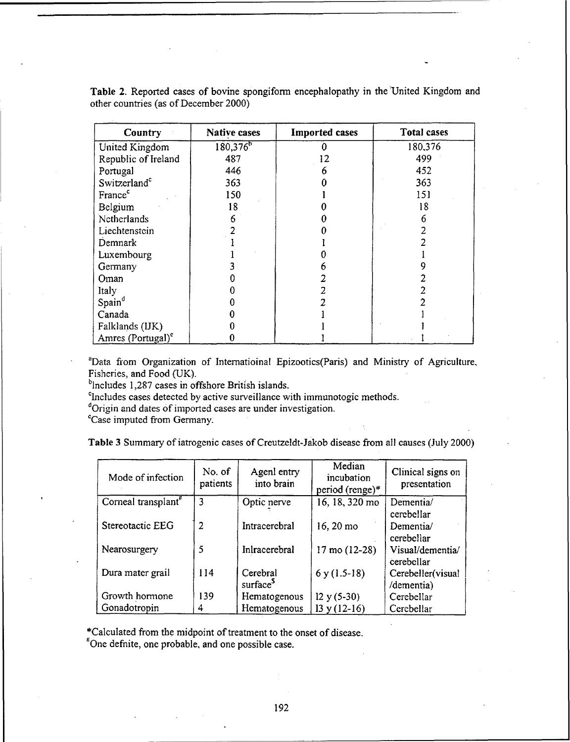| Country                       | Native cases           | <b>Imported cases</b> | <b>Total cases</b> |
|-------------------------------|------------------------|-----------------------|--------------------|
| United Kingdom                | $180,376$ <sup>b</sup> |                       | 180,376            |
| Republic of Ireland           | 487                    | 2                     | 499                |
| Portugal                      | 446                    |                       | 452                |
| Switzerland <sup>c</sup>      | 363                    |                       | 363                |
| France <sup>c</sup>           | 150                    |                       | 151                |
| Belgium                       | 18                     |                       | 18                 |
| Netherlands                   | 6                      |                       | 6                  |
| Liechtenstein                 |                        |                       |                    |
| Demnark                       |                        |                       |                    |
| Luxembourg                    |                        |                       |                    |
| Germany                       |                        |                       |                    |
| Oman                          |                        |                       |                    |
| Italy                         |                        |                       |                    |
| Spain <sup>d</sup>            |                        |                       |                    |
| Canada                        |                        |                       |                    |
| Falklands (IJK)               |                        |                       |                    |
| Amres (Portugal) <sup>e</sup> |                        |                       |                    |

Table 2. Reported cases of bovine spongiform encephalopathy in the United Kingdom and other countries (as of December 2000)

'Data from Organization of Intematioinal Epizootics(Paris) and Ministry of Agriculture. Fisheries, and Food (UK).  $b$ lncludes 1,287 cases in offshore British islands.

<sup>c</sup>Includes cases detected by active surveillance with immunotogic methods.

**dOrigin** and dates of imported cases are under investigation.

CCase imputed from Germany.

Table 3 Summary of iatrogenic cases of Creutzeldt-Jakob diseasc from all causes (July 2000)

| Mode of infection               | No. of<br>patients | Agenl entry<br>into brain | Median<br>incubation<br>period (renge)* | Clinical signs on<br>presentation |
|---------------------------------|--------------------|---------------------------|-----------------------------------------|-----------------------------------|
| Corneal transplant <sup>#</sup> | 3                  | Optic nerve               | 16, 18, 320 mo                          | Dementia/                         |
|                                 |                    |                           |                                         | cerebellar                        |
| Stereotactic EEG                | $\overline{2}$     | Intracerebral             | 16, 20 mo                               | Dementia/                         |
|                                 |                    |                           |                                         | cerebellar                        |
| Nearosurgery                    | 5                  | Inlracerebral             | $17 \text{ mo} (12-28)$                 | Visual/dementia/                  |
|                                 |                    |                           |                                         | cerebellar                        |
| Dura mater grail                | 114                | Cerebral                  | $6y(1.5-18)$                            | Cerebeller(visual                 |
|                                 |                    | surface <sup>5</sup>      |                                         | /dementia)                        |
| Growth hormone                  | 139                | Hematogenous              | $12 y (5-30)$                           | Cerebellar                        |
| Gonadotropin                    | 4                  | Hematogenous              | $13 y (12-16)$                          | Cerebellar                        |

\*Calculated from the midpoint of treatment to the onset of disease.

<sup>#</sup>One defnite, one probable, and one possible case.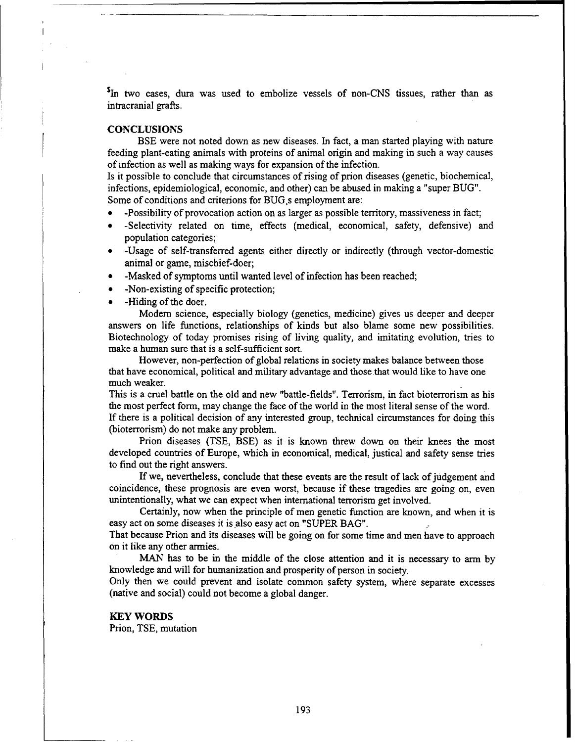<sup>5</sup>In two cases, dura was used to embolize vessels of non-CNS tissues, rather than as intracranial grafts.

#### **CONCLUSIONS**

**BSE** were not noted down as new diseases. In fact, a man started playing with nature feeding plant-eating animals with proteins of animal origin and making in such a way causes of infection as well as making ways for expansion of the infection.

Is it possible to conclude that circumstances of rising of prion diseases (genetic, biochemical, infections, epidemiological, economic, and other) can be abused in making a "super BUG". Some of conditions and criterions for BUG,s employment are:

- \* -Possibility of provocation action on as larger as possible territory, massiveness in fact;
- \* -Selectivity related on time, effects (medical, economical, safety, defensive) and population categories;
- **\*** -Usage of self-transferred agents either directly or indirectly (through vector-domestic animal or game, mischief-doer;
- **\*** -Masked of symptoms until wanted level of infection has been reached;
- -Non-existing of specific protection;
- -Hiding of the doer.

Modem science, especially biology (genetics, medicine) gives us deeper and deeper answers on life functions, relationships of kinds but also blame some new possibilities. Biotechnology of today promises rising of living quality, and imitating evolution, tries to make a human sure that is a self-sufficient sort.

However, non-perfection of global relations in society makes balance between those that have economical, political and military advantage and those that would like to have one much weaker.

This is a cruel battle on the old and new "battle-fields". Terrorism, in fact bioterrorism as his the most perfect form, may change the face of the world in the most literal sense of the word. If there is a political decision of any interested group, technical circumstances for doing this

(bioterrorism) do not make any problem.

Prion diseases (TSE, BSE) as it is known threw down on their knees the most developed countries of Europe, which in economical, medical, justical and safety sense tries to find out the right answers.

If we, nevertheless, conclude that these events are the result of lack of judgement and coincidence, these prognosis are even worst, because if these tragedies are going on, even unintentionally, what we can expect when international terrorism get involved.

Certainly, now when the principle of men genetic function are known, and when it is easy act on some diseases it is also easy act on "SUPER BAG".

That because Prion and its diseases will be going on for some time and men have to approach on it like any other armies.

MAN has to be in the middle of the close attention and it is necessary to arm by knowledge and will for humanization and prosperity of person in society.

Only then we could prevent and isolate common safety system, where separate excesses (native and social) could not become a global danger.

### KEY WORDS

Prion, TSE, mutation